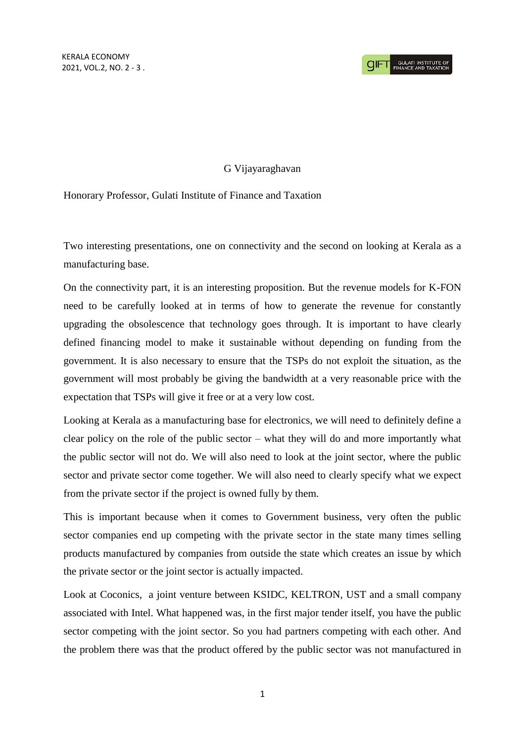## G Vijayaraghavan

## Honorary Professor, Gulati Institute of Finance and Taxation

Two interesting presentations, one on connectivity and the second on looking at Kerala as a manufacturing base.

On the connectivity part, it is an interesting proposition. But the revenue models for K-FON need to be carefully looked at in terms of how to generate the revenue for constantly upgrading the obsolescence that technology goes through. It is important to have clearly defined financing model to make it sustainable without depending on funding from the government. It is also necessary to ensure that the TSPs do not exploit the situation, as the government will most probably be giving the bandwidth at a very reasonable price with the expectation that TSPs will give it free or at a very low cost.

Looking at Kerala as a manufacturing base for electronics, we will need to definitely define a clear policy on the role of the public sector – what they will do and more importantly what the public sector will not do. We will also need to look at the joint sector, where the public sector and private sector come together. We will also need to clearly specify what we expect from the private sector if the project is owned fully by them.

This is important because when it comes to Government business, very often the public sector companies end up competing with the private sector in the state many times selling products manufactured by companies from outside the state which creates an issue by which the private sector or the joint sector is actually impacted.

Look at Coconics, a joint venture between KSIDC, KELTRON, UST and a small company associated with Intel. What happened was, in the first major tender itself, you have the public sector competing with the joint sector. So you had partners competing with each other. And the problem there was that the product offered by the public sector was not manufactured in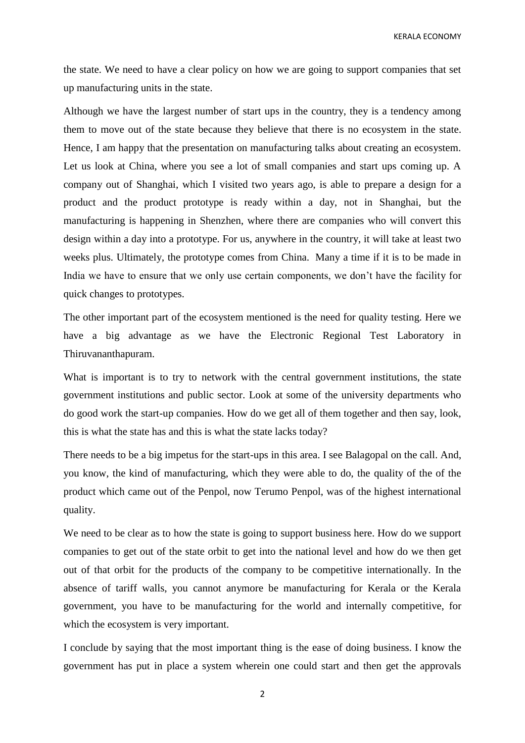KERALA ECONOMY

the state. We need to have a clear policy on how we are going to support companies that set up manufacturing units in the state.

Although we have the largest number of start ups in the country, they is a tendency among them to move out of the state because they believe that there is no ecosystem in the state. Hence, I am happy that the presentation on manufacturing talks about creating an ecosystem. Let us look at China, where you see a lot of small companies and start ups coming up. A company out of Shanghai, which I visited two years ago, is able to prepare a design for a product and the product prototype is ready within a day, not in Shanghai, but the manufacturing is happening in Shenzhen, where there are companies who will convert this design within a day into a prototype. For us, anywhere in the country, it will take at least two weeks plus. Ultimately, the prototype comes from China. Many a time if it is to be made in India we have to ensure that we only use certain components, we don't have the facility for quick changes to prototypes.

The other important part of the ecosystem mentioned is the need for quality testing. Here we have a big advantage as we have the Electronic Regional Test Laboratory in Thiruvananthapuram.

What is important is to try to network with the central government institutions, the state government institutions and public sector. Look at some of the university departments who do good work the start-up companies. How do we get all of them together and then say, look, this is what the state has and this is what the state lacks today?

There needs to be a big impetus for the start-ups in this area. I see Balagopal on the call. And, you know, the kind of manufacturing, which they were able to do, the quality of the of the product which came out of the Penpol, now Terumo Penpol, was of the highest international quality.

We need to be clear as to how the state is going to support business here. How do we support companies to get out of the state orbit to get into the national level and how do we then get out of that orbit for the products of the company to be competitive internationally. In the absence of tariff walls, you cannot anymore be manufacturing for Kerala or the Kerala government, you have to be manufacturing for the world and internally competitive, for which the ecosystem is very important.

I conclude by saying that the most important thing is the ease of doing business. I know the government has put in place a system wherein one could start and then get the approvals

2